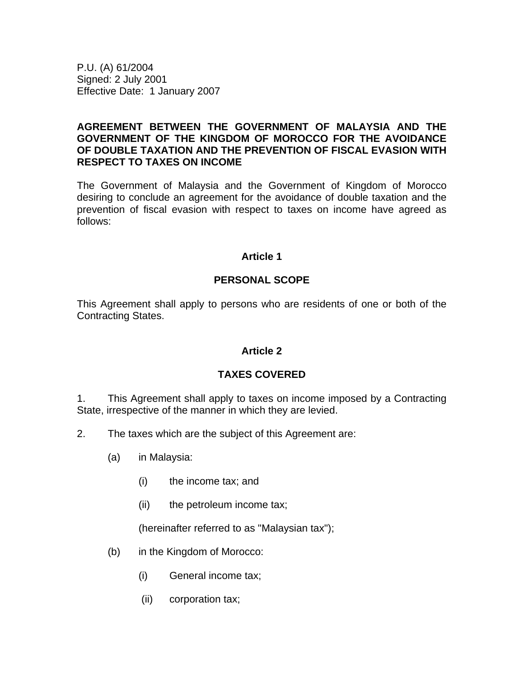P.U. (A) 61/2004 Signed: 2 July 2001 Effective Date: 1 January 2007

#### **AGREEMENT BETWEEN THE GOVERNMENT OF MALAYSIA AND THE GOVERNMENT OF THE KINGDOM OF MOROCCO FOR THE AVOIDANCE OF DOUBLE TAXATION AND THE PREVENTION OF FISCAL EVASION WITH RESPECT TO TAXES ON INCOME**

The Government of Malaysia and the Government of Kingdom of Morocco desiring to conclude an agreement for the avoidance of double taxation and the prevention of fiscal evasion with respect to taxes on income have agreed as follows:

#### **Article 1**

#### **PERSONAL SCOPE**

This Agreement shall apply to persons who are residents of one or both of the Contracting States.

#### **Article 2**

#### **TAXES COVERED**

1. This Agreement shall apply to taxes on income imposed by a Contracting State, irrespective of the manner in which they are levied.

2. The taxes which are the subject of this Agreement are:

- (a) in Malaysia:
	- (i) the income tax; and
	- (ii) the petroleum income tax;

(hereinafter referred to as "Malaysian tax");

- (b) in the Kingdom of Morocco:
	- (i) General income tax;
	- (ii) corporation tax;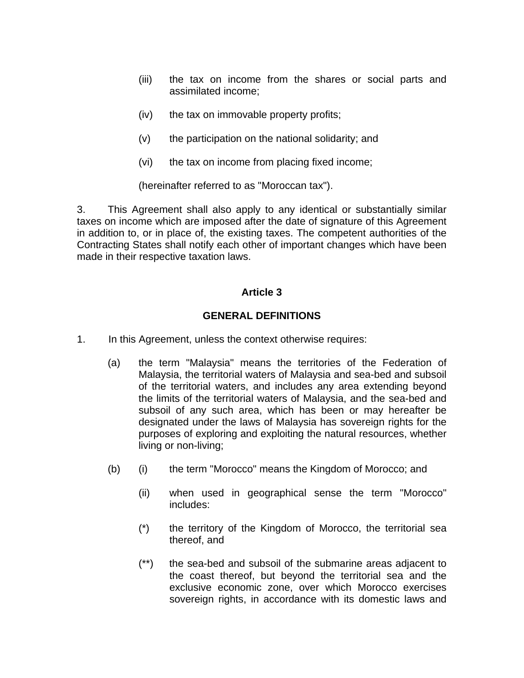- (iii) the tax on income from the shares or social parts and assimilated income;
- (iv) the tax on immovable property profits;
- (v) the participation on the national solidarity; and
- (vi) the tax on income from placing fixed income;

(hereinafter referred to as "Moroccan tax").

3. This Agreement shall also apply to any identical or substantially similar taxes on income which are imposed after the date of signature of this Agreement in addition to, or in place of, the existing taxes. The competent authorities of the Contracting States shall notify each other of important changes which have been made in their respective taxation laws.

# **Article 3**

# **GENERAL DEFINITIONS**

- 1. In this Agreement, unless the context otherwise requires:
	- (a) the term "Malaysia" means the territories of the Federation of Malaysia, the territorial waters of Malaysia and sea-bed and subsoil of the territorial waters, and includes any area extending beyond the limits of the territorial waters of Malaysia, and the sea-bed and subsoil of any such area, which has been or may hereafter be designated under the laws of Malaysia has sovereign rights for the purposes of exploring and exploiting the natural resources, whether living or non-living;
	- (b) (i) the term "Morocco" means the Kingdom of Morocco; and
		- (ii) when used in geographical sense the term "Morocco" includes:
		- (\*) the territory of the Kingdom of Morocco, the territorial sea thereof, and
		- (\*\*) the sea-bed and subsoil of the submarine areas adjacent to the coast thereof, but beyond the territorial sea and the exclusive economic zone, over which Morocco exercises sovereign rights, in accordance with its domestic laws and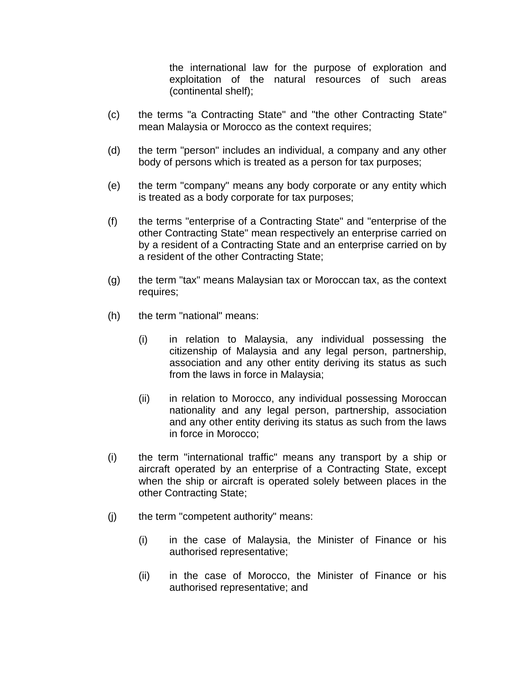the international law for the purpose of exploration and exploitation of the natural resources of such areas (continental shelf);

- (c) the terms "a Contracting State" and "the other Contracting State" mean Malaysia or Morocco as the context requires;
- (d) the term "person" includes an individual, a company and any other body of persons which is treated as a person for tax purposes;
- (e) the term "company" means any body corporate or any entity which is treated as a body corporate for tax purposes;
- (f) the terms "enterprise of a Contracting State" and "enterprise of the other Contracting State" mean respectively an enterprise carried on by a resident of a Contracting State and an enterprise carried on by a resident of the other Contracting State;
- (g) the term "tax" means Malaysian tax or Moroccan tax, as the context requires;
- (h) the term "national" means:
	- (i) in relation to Malaysia, any individual possessing the citizenship of Malaysia and any legal person, partnership, association and any other entity deriving its status as such from the laws in force in Malaysia;
	- (ii) in relation to Morocco, any individual possessing Moroccan nationality and any legal person, partnership, association and any other entity deriving its status as such from the laws in force in Morocco;
- (i) the term "international traffic" means any transport by a ship or aircraft operated by an enterprise of a Contracting State, except when the ship or aircraft is operated solely between places in the other Contracting State;
- (j) the term "competent authority" means:
	- (i) in the case of Malaysia, the Minister of Finance or his authorised representative;
	- (ii) in the case of Morocco, the Minister of Finance or his authorised representative; and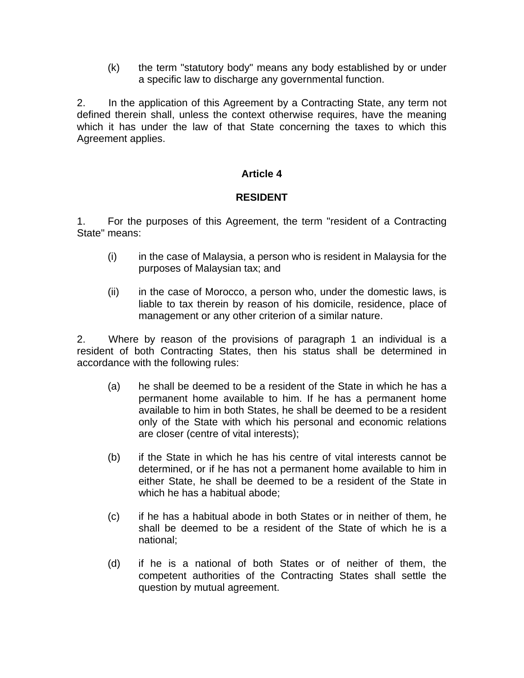(k) the term "statutory body" means any body established by or under a specific law to discharge any governmental function.

2. In the application of this Agreement by a Contracting State, any term not defined therein shall, unless the context otherwise requires, have the meaning which it has under the law of that State concerning the taxes to which this Agreement applies.

# **Article 4**

# **RESIDENT**

1. For the purposes of this Agreement, the term "resident of a Contracting State" means:

- (i) in the case of Malaysia, a person who is resident in Malaysia for the purposes of Malaysian tax; and
- (ii) in the case of Morocco, a person who, under the domestic laws, is liable to tax therein by reason of his domicile, residence, place of management or any other criterion of a similar nature.

2. Where by reason of the provisions of paragraph 1 an individual is a resident of both Contracting States, then his status shall be determined in accordance with the following rules:

- (a) he shall be deemed to be a resident of the State in which he has a permanent home available to him. If he has a permanent home available to him in both States, he shall be deemed to be a resident only of the State with which his personal and economic relations are closer (centre of vital interests);
- (b) if the State in which he has his centre of vital interests cannot be determined, or if he has not a permanent home available to him in either State, he shall be deemed to be a resident of the State in which he has a habitual abode;
- (c) if he has a habitual abode in both States or in neither of them, he shall be deemed to be a resident of the State of which he is a national;
- (d) if he is a national of both States or of neither of them, the competent authorities of the Contracting States shall settle the question by mutual agreement.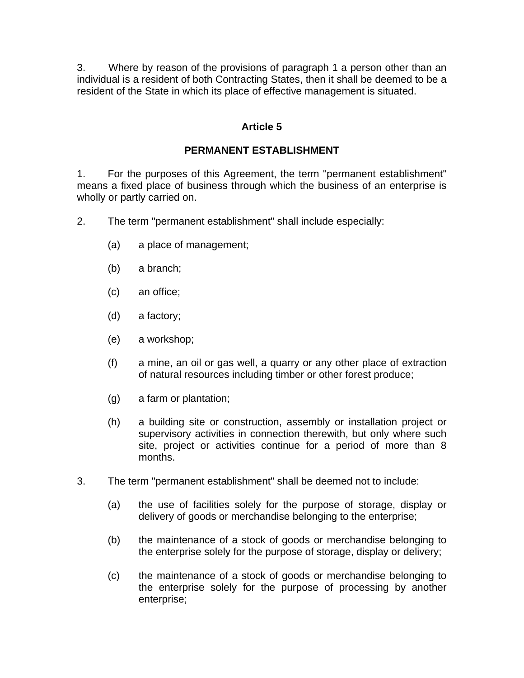3. Where by reason of the provisions of paragraph 1 a person other than an individual is a resident of both Contracting States, then it shall be deemed to be a resident of the State in which its place of effective management is situated.

# **Article 5**

#### **PERMANENT ESTABLISHMENT**

1. For the purposes of this Agreement, the term "permanent establishment" means a fixed place of business through which the business of an enterprise is wholly or partly carried on.

2. The term "permanent establishment" shall include especially:

- (a) a place of management;
- (b) a branch;
- (c) an office;
- (d) a factory;
- (e) a workshop;
- (f) a mine, an oil or gas well, a quarry or any other place of extraction of natural resources including timber or other forest produce;
- (g) a farm or plantation;
- (h) a building site or construction, assembly or installation project or supervisory activities in connection therewith, but only where such site, project or activities continue for a period of more than 8 months.
- 3. The term "permanent establishment" shall be deemed not to include:
	- (a) the use of facilities solely for the purpose of storage, display or delivery of goods or merchandise belonging to the enterprise;
	- (b) the maintenance of a stock of goods or merchandise belonging to the enterprise solely for the purpose of storage, display or delivery;
	- (c) the maintenance of a stock of goods or merchandise belonging to the enterprise solely for the purpose of processing by another enterprise;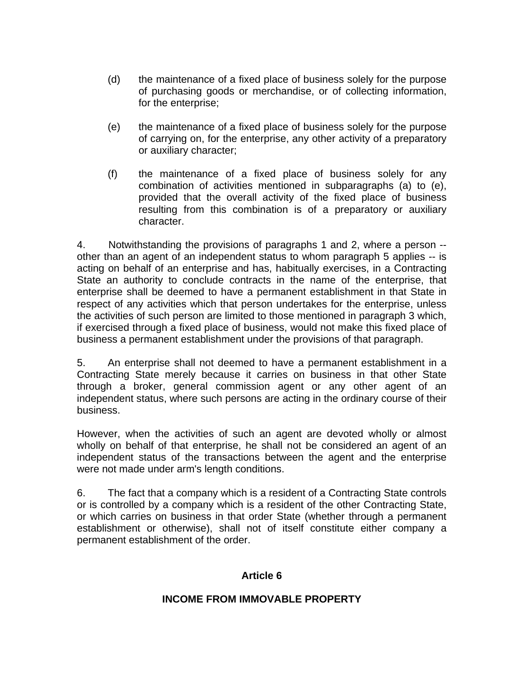- (d) the maintenance of a fixed place of business solely for the purpose of purchasing goods or merchandise, or of collecting information, for the enterprise;
- (e) the maintenance of a fixed place of business solely for the purpose of carrying on, for the enterprise, any other activity of a preparatory or auxiliary character;
- (f) the maintenance of a fixed place of business solely for any combination of activities mentioned in subparagraphs (a) to (e), provided that the overall activity of the fixed place of business resulting from this combination is of a preparatory or auxiliary character.

4. Notwithstanding the provisions of paragraphs 1 and 2, where a person - other than an agent of an independent status to whom paragraph 5 applies -- is acting on behalf of an enterprise and has, habitually exercises, in a Contracting State an authority to conclude contracts in the name of the enterprise, that enterprise shall be deemed to have a permanent establishment in that State in respect of any activities which that person undertakes for the enterprise, unless the activities of such person are limited to those mentioned in paragraph 3 which, if exercised through a fixed place of business, would not make this fixed place of business a permanent establishment under the provisions of that paragraph.

5. An enterprise shall not deemed to have a permanent establishment in a Contracting State merely because it carries on business in that other State through a broker, general commission agent or any other agent of an independent status, where such persons are acting in the ordinary course of their business.

However, when the activities of such an agent are devoted wholly or almost wholly on behalf of that enterprise, he shall not be considered an agent of an independent status of the transactions between the agent and the enterprise were not made under arm's length conditions.

6. The fact that a company which is a resident of a Contracting State controls or is controlled by a company which is a resident of the other Contracting State, or which carries on business in that order State (whether through a permanent establishment or otherwise), shall not of itself constitute either company a permanent establishment of the order.

# **Article 6**

#### **INCOME FROM IMMOVABLE PROPERTY**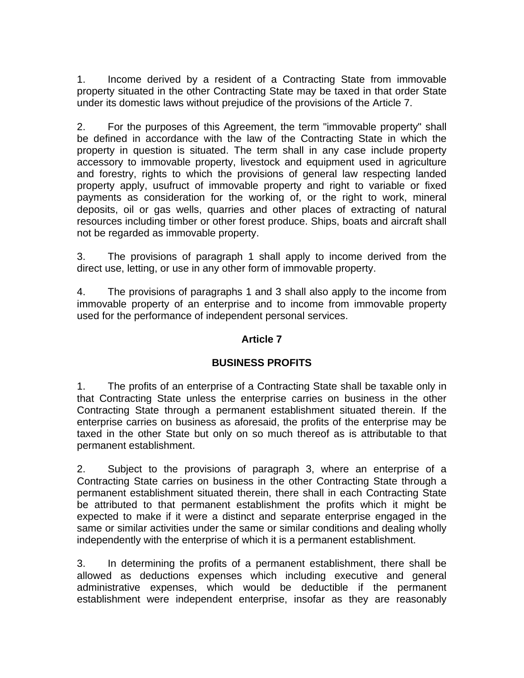1. Income derived by a resident of a Contracting State from immovable property situated in the other Contracting State may be taxed in that order State under its domestic laws without prejudice of the provisions of the Article 7.

2. For the purposes of this Agreement, the term "immovable property" shall be defined in accordance with the law of the Contracting State in which the property in question is situated. The term shall in any case include property accessory to immovable property, livestock and equipment used in agriculture and forestry, rights to which the provisions of general law respecting landed property apply, usufruct of immovable property and right to variable or fixed payments as consideration for the working of, or the right to work, mineral deposits, oil or gas wells, quarries and other places of extracting of natural resources including timber or other forest produce. Ships, boats and aircraft shall not be regarded as immovable property.

3. The provisions of paragraph 1 shall apply to income derived from the direct use, letting, or use in any other form of immovable property.

4. The provisions of paragraphs 1 and 3 shall also apply to the income from immovable property of an enterprise and to income from immovable property used for the performance of independent personal services.

#### **Article 7**

# **BUSINESS PROFITS**

1. The profits of an enterprise of a Contracting State shall be taxable only in that Contracting State unless the enterprise carries on business in the other Contracting State through a permanent establishment situated therein. If the enterprise carries on business as aforesaid, the profits of the enterprise may be taxed in the other State but only on so much thereof as is attributable to that permanent establishment.

2. Subject to the provisions of paragraph 3, where an enterprise of a Contracting State carries on business in the other Contracting State through a permanent establishment situated therein, there shall in each Contracting State be attributed to that permanent establishment the profits which it might be expected to make if it were a distinct and separate enterprise engaged in the same or similar activities under the same or similar conditions and dealing wholly independently with the enterprise of which it is a permanent establishment.

3. In determining the profits of a permanent establishment, there shall be allowed as deductions expenses which including executive and general administrative expenses, which would be deductible if the permanent establishment were independent enterprise, insofar as they are reasonably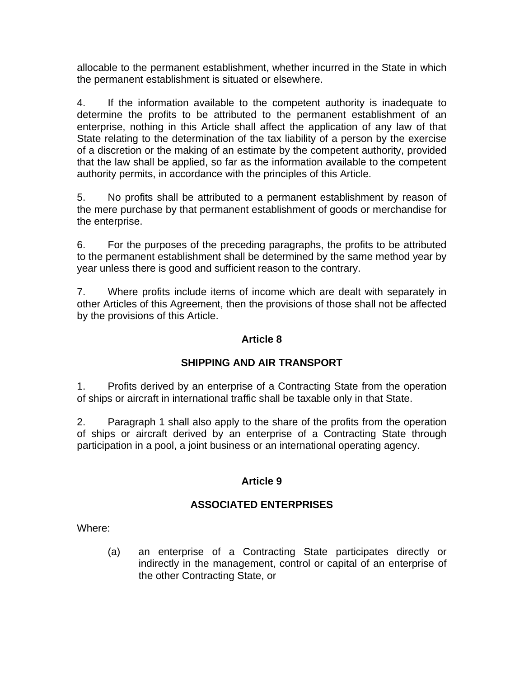allocable to the permanent establishment, whether incurred in the State in which the permanent establishment is situated or elsewhere.

4. If the information available to the competent authority is inadequate to determine the profits to be attributed to the permanent establishment of an enterprise, nothing in this Article shall affect the application of any law of that State relating to the determination of the tax liability of a person by the exercise of a discretion or the making of an estimate by the competent authority, provided that the law shall be applied, so far as the information available to the competent authority permits, in accordance with the principles of this Article.

5. No profits shall be attributed to a permanent establishment by reason of the mere purchase by that permanent establishment of goods or merchandise for the enterprise.

6. For the purposes of the preceding paragraphs, the profits to be attributed to the permanent establishment shall be determined by the same method year by year unless there is good and sufficient reason to the contrary.

7. Where profits include items of income which are dealt with separately in other Articles of this Agreement, then the provisions of those shall not be affected by the provisions of this Article.

# **Article 8**

# **SHIPPING AND AIR TRANSPORT**

1. Profits derived by an enterprise of a Contracting State from the operation of ships or aircraft in international traffic shall be taxable only in that State.

2. Paragraph 1 shall also apply to the share of the profits from the operation of ships or aircraft derived by an enterprise of a Contracting State through participation in a pool, a joint business or an international operating agency.

# **Article 9**

# **ASSOCIATED ENTERPRISES**

Where:

(a) an enterprise of a Contracting State participates directly or indirectly in the management, control or capital of an enterprise of the other Contracting State, or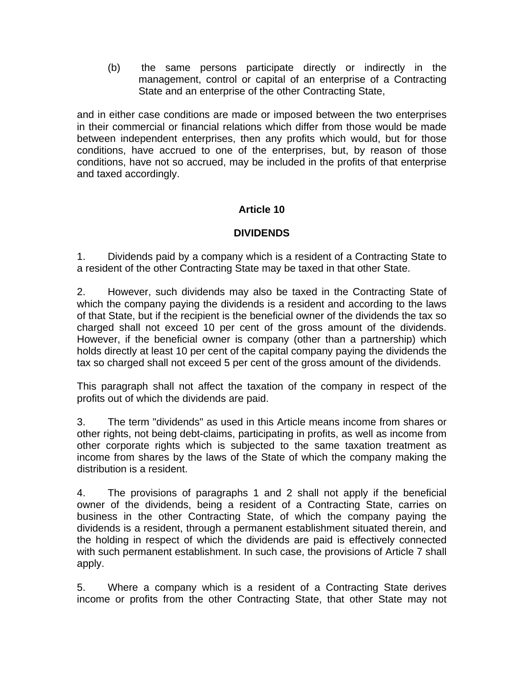(b) the same persons participate directly or indirectly in the management, control or capital of an enterprise of a Contracting State and an enterprise of the other Contracting State,

and in either case conditions are made or imposed between the two enterprises in their commercial or financial relations which differ from those would be made between independent enterprises, then any profits which would, but for those conditions, have accrued to one of the enterprises, but, by reason of those conditions, have not so accrued, may be included in the profits of that enterprise and taxed accordingly.

# **Article 10**

# **DIVIDENDS**

1. Dividends paid by a company which is a resident of a Contracting State to a resident of the other Contracting State may be taxed in that other State.

2. However, such dividends may also be taxed in the Contracting State of which the company paying the dividends is a resident and according to the laws of that State, but if the recipient is the beneficial owner of the dividends the tax so charged shall not exceed 10 per cent of the gross amount of the dividends. However, if the beneficial owner is company (other than a partnership) which holds directly at least 10 per cent of the capital company paying the dividends the tax so charged shall not exceed 5 per cent of the gross amount of the dividends.

This paragraph shall not affect the taxation of the company in respect of the profits out of which the dividends are paid.

3. The term "dividends" as used in this Article means income from shares or other rights, not being debt-claims, participating in profits, as well as income from other corporate rights which is subjected to the same taxation treatment as income from shares by the laws of the State of which the company making the distribution is a resident.

4. The provisions of paragraphs 1 and 2 shall not apply if the beneficial owner of the dividends, being a resident of a Contracting State, carries on business in the other Contracting State, of which the company paying the dividends is a resident, through a permanent establishment situated therein, and the holding in respect of which the dividends are paid is effectively connected with such permanent establishment. In such case, the provisions of Article 7 shall apply.

5. Where a company which is a resident of a Contracting State derives income or profits from the other Contracting State, that other State may not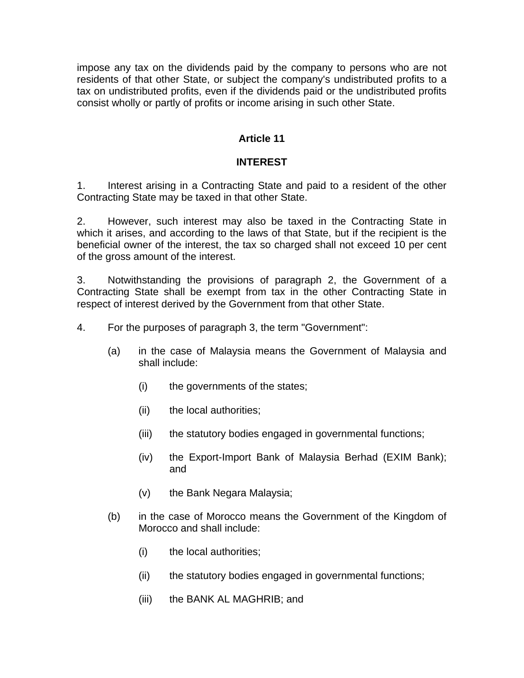impose any tax on the dividends paid by the company to persons who are not residents of that other State, or subject the company's undistributed profits to a tax on undistributed profits, even if the dividends paid or the undistributed profits consist wholly or partly of profits or income arising in such other State.

# **Article 11**

#### **INTEREST**

1. Interest arising in a Contracting State and paid to a resident of the other Contracting State may be taxed in that other State.

2. However, such interest may also be taxed in the Contracting State in which it arises, and according to the laws of that State, but if the recipient is the beneficial owner of the interest, the tax so charged shall not exceed 10 per cent of the gross amount of the interest.

3. Notwithstanding the provisions of paragraph 2, the Government of a Contracting State shall be exempt from tax in the other Contracting State in respect of interest derived by the Government from that other State.

4. For the purposes of paragraph 3, the term "Government":

- (a) in the case of Malaysia means the Government of Malaysia and shall include:
	- (i) the governments of the states;
	- (ii) the local authorities;
	- (iii) the statutory bodies engaged in governmental functions;
	- (iv) the Export-Import Bank of Malaysia Berhad (EXIM Bank); and
	- (v) the Bank Negara Malaysia;
- (b) in the case of Morocco means the Government of the Kingdom of Morocco and shall include:
	- (i) the local authorities;
	- (ii) the statutory bodies engaged in governmental functions;
	- (iii) the BANK AL MAGHRIB; and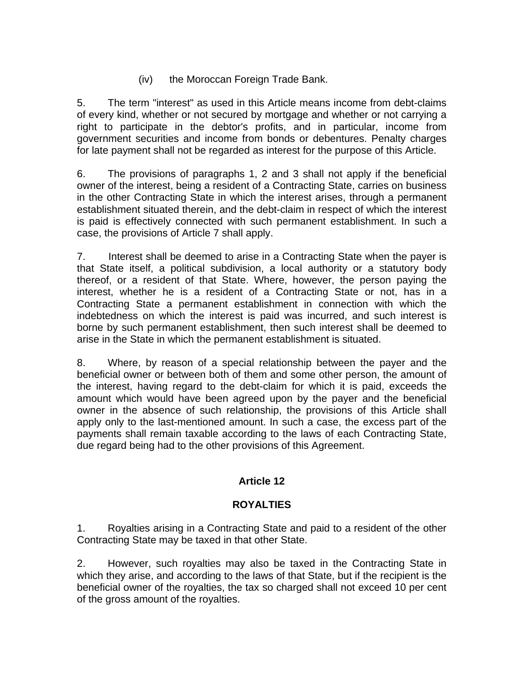(iv) the Moroccan Foreign Trade Bank.

5. The term "interest" as used in this Article means income from debt-claims of every kind, whether or not secured by mortgage and whether or not carrying a right to participate in the debtor's profits, and in particular, income from government securities and income from bonds or debentures. Penalty charges for late payment shall not be regarded as interest for the purpose of this Article.

6. The provisions of paragraphs 1, 2 and 3 shall not apply if the beneficial owner of the interest, being a resident of a Contracting State, carries on business in the other Contracting State in which the interest arises, through a permanent establishment situated therein, and the debt-claim in respect of which the interest is paid is effectively connected with such permanent establishment. In such a case, the provisions of Article 7 shall apply.

7. Interest shall be deemed to arise in a Contracting State when the payer is that State itself, a political subdivision, a local authority or a statutory body thereof, or a resident of that State. Where, however, the person paying the interest, whether he is a resident of a Contracting State or not, has in a Contracting State a permanent establishment in connection with which the indebtedness on which the interest is paid was incurred, and such interest is borne by such permanent establishment, then such interest shall be deemed to arise in the State in which the permanent establishment is situated.

8. Where, by reason of a special relationship between the payer and the beneficial owner or between both of them and some other person, the amount of the interest, having regard to the debt-claim for which it is paid, exceeds the amount which would have been agreed upon by the payer and the beneficial owner in the absence of such relationship, the provisions of this Article shall apply only to the last-mentioned amount. In such a case, the excess part of the payments shall remain taxable according to the laws of each Contracting State, due regard being had to the other provisions of this Agreement.

# **Article 12**

# **ROYALTIES**

1. Royalties arising in a Contracting State and paid to a resident of the other Contracting State may be taxed in that other State.

2. However, such royalties may also be taxed in the Contracting State in which they arise, and according to the laws of that State, but if the recipient is the beneficial owner of the royalties, the tax so charged shall not exceed 10 per cent of the gross amount of the royalties.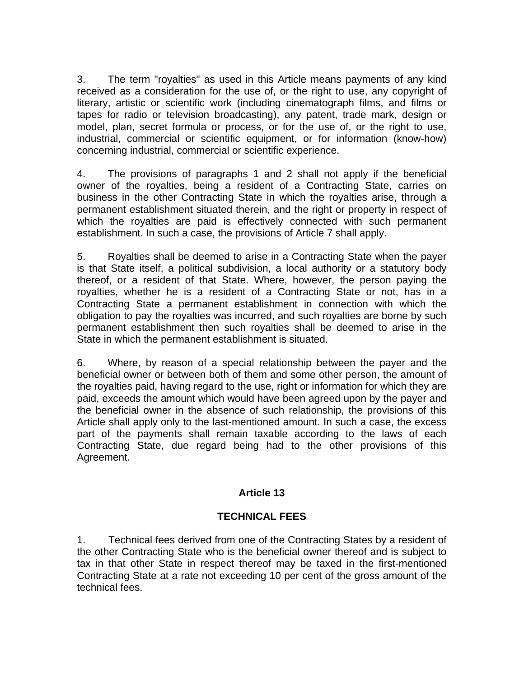3. The term "royalties" as used in this Article means payments of any kind received as a consideration for the use of, or the right to use, any copyright of literary, artistic or scientific work (including cinematograph films, and films or tapes for radio or television broadcasting), any patent, trade mark, design or model, plan, secret formula or process, or for the use of, or the right to use, industrial, commercial or scientific equipment, or for information (know-how) concerning industrial, commercial or scientific experience.

4. The provisions of paragraphs 1 and 2 shall not apply if the beneficial owner of the royalties, being a resident of a Contracting State, carries on business in the other Contracting State in which the royalties arise, through a permanent establishment situated therein, and the right or property in respect of which the royalties are paid is effectively connected with such permanent establishment. In such a case, the provisions of Article 7 shall apply.

5. Royalties shall be deemed to arise in a Contracting State when the payer is that State itself, a political subdivision, a local authority or a statutory body thereof, or a resident of that State. Where, however, the person paying the royalties, whether he is a resident of a Contracting State or not, has in a Contracting State a permanent establishment in connection with which the obligation to pay the royalties was incurred, and such royalties are borne by such permanent establishment then such royalties shall be deemed to arise in the State in which the permanent establishment is situated.

6. Where, by reason of a special relationship between the payer and the beneficial owner or between both of them and some other person, the amount of the royalties paid, having regard to the use, right or information for which they are paid, exceeds the amount which would have been agreed upon by the payer and the beneficial owner in the absence of such relationship, the provisions of this Article shall apply only to the last-mentioned amount. In such a case, the excess part of the payments shall remain taxable according to the laws of each Contracting State, due regard being had to the other provisions of this Agreement.

# **Article 13**

# **TECHNICAL FEES**

1. Technical fees derived from one of the Contracting States by a resident of the other Contracting State who is the beneficial owner thereof and is subject to tax in that other State in respect thereof may be taxed in the first-mentioned Contracting State at a rate not exceeding 10 per cent of the gross amount of the technical fees.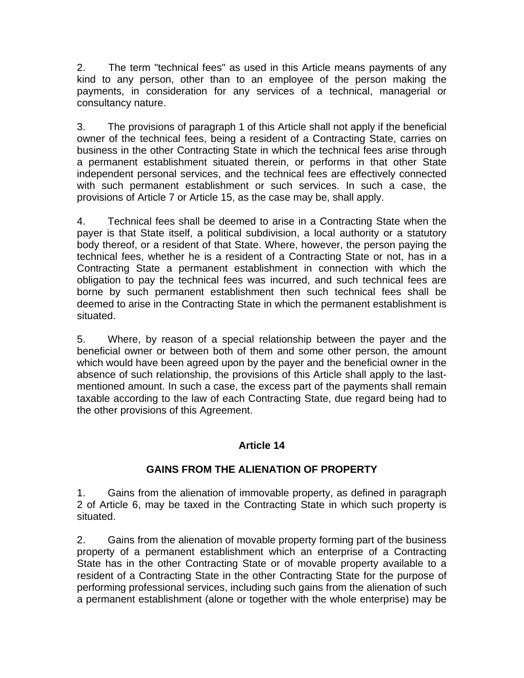2. The term "technical fees" as used in this Article means payments of any kind to any person, other than to an employee of the person making the payments, in consideration for any services of a technical, managerial or consultancy nature.

3. The provisions of paragraph 1 of this Article shall not apply if the beneficial owner of the technical fees, being a resident of a Contracting State, carries on business in the other Contracting State in which the technical fees arise through a permanent establishment situated therein, or performs in that other State independent personal services, and the technical fees are effectively connected with such permanent establishment or such services. In such a case, the provisions of Article 7 or Article 15, as the case may be, shall apply.

4. Technical fees shall be deemed to arise in a Contracting State when the payer is that State itself, a political subdivision, a local authority or a statutory body thereof, or a resident of that State. Where, however, the person paying the technical fees, whether he is a resident of a Contracting State or not, has in a Contracting State a permanent establishment in connection with which the obligation to pay the technical fees was incurred, and such technical fees are borne by such permanent establishment then such technical fees shall be deemed to arise in the Contracting State in which the permanent establishment is situated.

5. Where, by reason of a special relationship between the payer and the beneficial owner or between both of them and some other person, the amount which would have been agreed upon by the payer and the beneficial owner in the absence of such relationship, the provisions of this Article shall apply to the lastmentioned amount. In such a case, the excess part of the payments shall remain taxable according to the law of each Contracting State, due regard being had to the other provisions of this Agreement.

# **Article 14**

# **GAINS FROM THE ALIENATION OF PROPERTY**

1. Gains from the alienation of immovable property, as defined in paragraph 2 of Article 6, may be taxed in the Contracting State in which such property is situated.

2. Gains from the alienation of movable property forming part of the business property of a permanent establishment which an enterprise of a Contracting State has in the other Contracting State or of movable property available to a resident of a Contracting State in the other Contracting State for the purpose of performing professional services, including such gains from the alienation of such a permanent establishment (alone or together with the whole enterprise) may be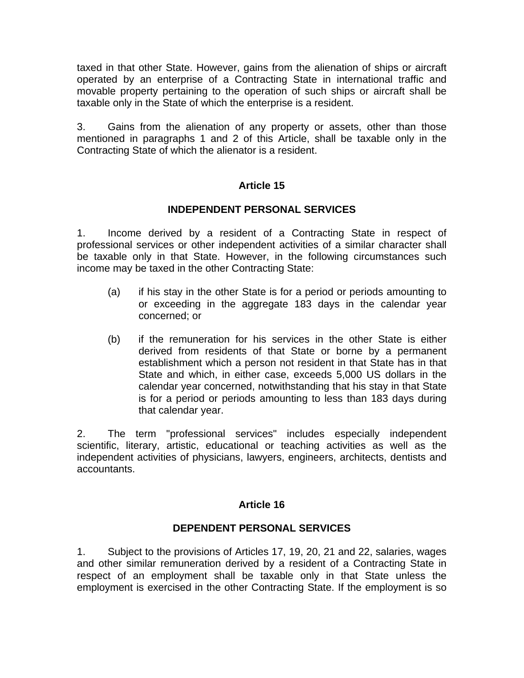taxed in that other State. However, gains from the alienation of ships or aircraft operated by an enterprise of a Contracting State in international traffic and movable property pertaining to the operation of such ships or aircraft shall be taxable only in the State of which the enterprise is a resident.

3. Gains from the alienation of any property or assets, other than those mentioned in paragraphs 1 and 2 of this Article, shall be taxable only in the Contracting State of which the alienator is a resident.

# **Article 15**

# **INDEPENDENT PERSONAL SERVICES**

1. Income derived by a resident of a Contracting State in respect of professional services or other independent activities of a similar character shall be taxable only in that State. However, in the following circumstances such income may be taxed in the other Contracting State:

- (a) if his stay in the other State is for a period or periods amounting to or exceeding in the aggregate 183 days in the calendar year concerned; or
- (b) if the remuneration for his services in the other State is either derived from residents of that State or borne by a permanent establishment which a person not resident in that State has in that State and which, in either case, exceeds 5,000 US dollars in the calendar year concerned, notwithstanding that his stay in that State is for a period or periods amounting to less than 183 days during that calendar year.

2. The term "professional services" includes especially independent scientific, literary, artistic, educational or teaching activities as well as the independent activities of physicians, lawyers, engineers, architects, dentists and accountants.

# **Article 16**

#### **DEPENDENT PERSONAL SERVICES**

1. Subject to the provisions of Articles 17, 19, 20, 21 and 22, salaries, wages and other similar remuneration derived by a resident of a Contracting State in respect of an employment shall be taxable only in that State unless the employment is exercised in the other Contracting State. If the employment is so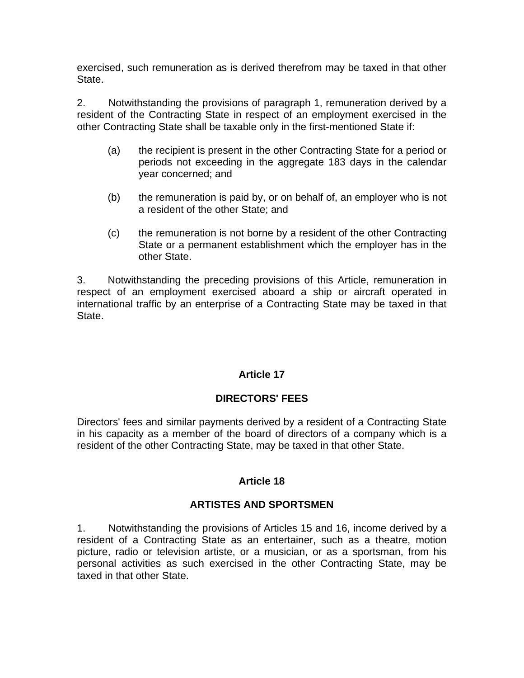exercised, such remuneration as is derived therefrom may be taxed in that other State.

2. Notwithstanding the provisions of paragraph 1, remuneration derived by a resident of the Contracting State in respect of an employment exercised in the other Contracting State shall be taxable only in the first-mentioned State if:

- (a) the recipient is present in the other Contracting State for a period or periods not exceeding in the aggregate 183 days in the calendar year concerned; and
- (b) the remuneration is paid by, or on behalf of, an employer who is not a resident of the other State; and
- (c) the remuneration is not borne by a resident of the other Contracting State or a permanent establishment which the employer has in the other State.

3. Notwithstanding the preceding provisions of this Article, remuneration in respect of an employment exercised aboard a ship or aircraft operated in international traffic by an enterprise of a Contracting State may be taxed in that State.

# **Article 17**

# **DIRECTORS' FEES**

Directors' fees and similar payments derived by a resident of a Contracting State in his capacity as a member of the board of directors of a company which is a resident of the other Contracting State, may be taxed in that other State.

# **Article 18**

# **ARTISTES AND SPORTSMEN**

1. Notwithstanding the provisions of Articles 15 and 16, income derived by a resident of a Contracting State as an entertainer, such as a theatre, motion picture, radio or television artiste, or a musician, or as a sportsman, from his personal activities as such exercised in the other Contracting State, may be taxed in that other State.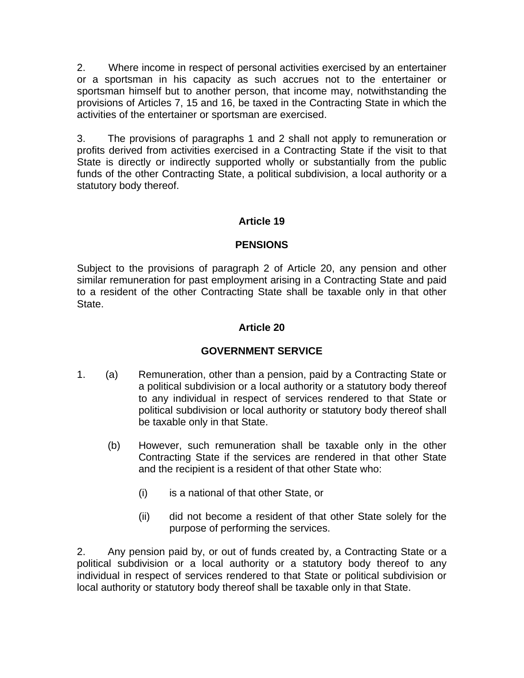2. Where income in respect of personal activities exercised by an entertainer or a sportsman in his capacity as such accrues not to the entertainer or sportsman himself but to another person, that income may, notwithstanding the provisions of Articles 7, 15 and 16, be taxed in the Contracting State in which the activities of the entertainer or sportsman are exercised.

3. The provisions of paragraphs 1 and 2 shall not apply to remuneration or profits derived from activities exercised in a Contracting State if the visit to that State is directly or indirectly supported wholly or substantially from the public funds of the other Contracting State, a political subdivision, a local authority or a statutory body thereof.

# **Article 19**

# **PENSIONS**

Subject to the provisions of paragraph 2 of Article 20, any pension and other similar remuneration for past employment arising in a Contracting State and paid to a resident of the other Contracting State shall be taxable only in that other State.

# **Article 20**

# **GOVERNMENT SERVICE**

- 1.(a) Remuneration, other than a pension, paid by a Contracting State or a political subdivision or a local authority or a statutory body thereof to any individual in respect of services rendered to that State or political subdivision or local authority or statutory body thereof shall be taxable only in that State.
	- (b) However, such remuneration shall be taxable only in the other Contracting State if the services are rendered in that other State and the recipient is a resident of that other State who:
		- (i) is a national of that other State, or
		- (ii) did not become a resident of that other State solely for the purpose of performing the services.

2. Any pension paid by, or out of funds created by, a Contracting State or a political subdivision or a local authority or a statutory body thereof to any individual in respect of services rendered to that State or political subdivision or local authority or statutory body thereof shall be taxable only in that State.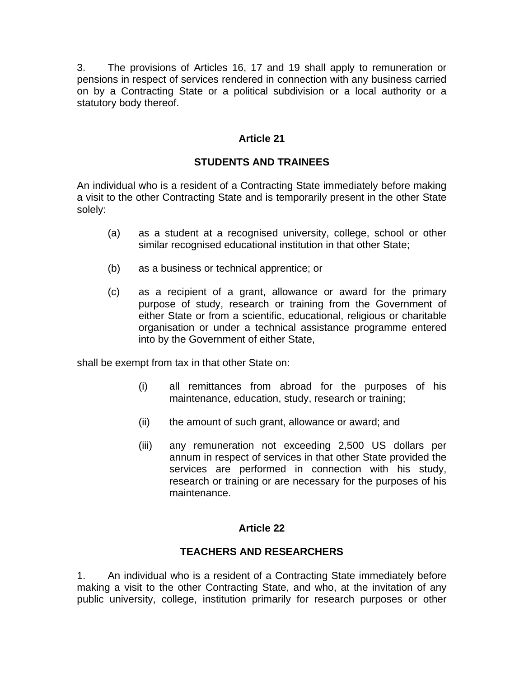3. The provisions of Articles 16, 17 and 19 shall apply to remuneration or pensions in respect of services rendered in connection with any business carried on by a Contracting State or a political subdivision or a local authority or a statutory body thereof.

#### **Article 21**

#### **STUDENTS AND TRAINEES**

An individual who is a resident of a Contracting State immediately before making a visit to the other Contracting State and is temporarily present in the other State solely:

- (a) as a student at a recognised university, college, school or other similar recognised educational institution in that other State;
- (b) as a business or technical apprentice; or
- (c) as a recipient of a grant, allowance or award for the primary purpose of study, research or training from the Government of either State or from a scientific, educational, religious or charitable organisation or under a technical assistance programme entered into by the Government of either State,

shall be exempt from tax in that other State on:

- (i) all remittances from abroad for the purposes of his maintenance, education, study, research or training;
- (ii) the amount of such grant, allowance or award; and
- (iii) any remuneration not exceeding 2,500 US dollars per annum in respect of services in that other State provided the services are performed in connection with his study, research or training or are necessary for the purposes of his maintenance.

#### **Article 22**

#### **TEACHERS AND RESEARCHERS**

1. An individual who is a resident of a Contracting State immediately before making a visit to the other Contracting State, and who, at the invitation of any public university, college, institution primarily for research purposes or other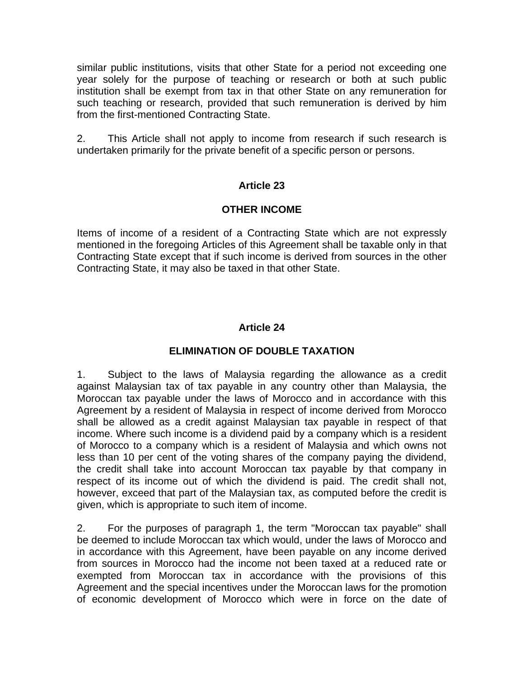similar public institutions, visits that other State for a period not exceeding one year solely for the purpose of teaching or research or both at such public institution shall be exempt from tax in that other State on any remuneration for such teaching or research, provided that such remuneration is derived by him from the first-mentioned Contracting State.

2. This Article shall not apply to income from research if such research is undertaken primarily for the private benefit of a specific person or persons.

# **Article 23**

#### **OTHER INCOME**

Items of income of a resident of a Contracting State which are not expressly mentioned in the foregoing Articles of this Agreement shall be taxable only in that Contracting State except that if such income is derived from sources in the other Contracting State, it may also be taxed in that other State.

# **Article 24**

#### **ELIMINATION OF DOUBLE TAXATION**

1. Subject to the laws of Malaysia regarding the allowance as a credit against Malaysian tax of tax payable in any country other than Malaysia, the Moroccan tax payable under the laws of Morocco and in accordance with this Agreement by a resident of Malaysia in respect of income derived from Morocco shall be allowed as a credit against Malaysian tax payable in respect of that income. Where such income is a dividend paid by a company which is a resident of Morocco to a company which is a resident of Malaysia and which owns not less than 10 per cent of the voting shares of the company paying the dividend, the credit shall take into account Moroccan tax payable by that company in respect of its income out of which the dividend is paid. The credit shall not, however, exceed that part of the Malaysian tax, as computed before the credit is given, which is appropriate to such item of income.

2. For the purposes of paragraph 1, the term "Moroccan tax payable" shall be deemed to include Moroccan tax which would, under the laws of Morocco and in accordance with this Agreement, have been payable on any income derived from sources in Morocco had the income not been taxed at a reduced rate or exempted from Moroccan tax in accordance with the provisions of this Agreement and the special incentives under the Moroccan laws for the promotion of economic development of Morocco which were in force on the date of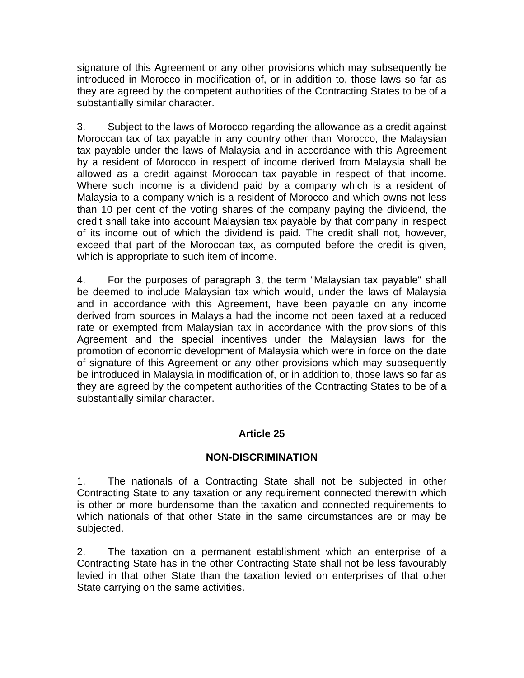signature of this Agreement or any other provisions which may subsequently be introduced in Morocco in modification of, or in addition to, those laws so far as they are agreed by the competent authorities of the Contracting States to be of a substantially similar character.

3. Subject to the laws of Morocco regarding the allowance as a credit against Moroccan tax of tax payable in any country other than Morocco, the Malaysian tax payable under the laws of Malaysia and in accordance with this Agreement by a resident of Morocco in respect of income derived from Malaysia shall be allowed as a credit against Moroccan tax payable in respect of that income. Where such income is a dividend paid by a company which is a resident of Malaysia to a company which is a resident of Morocco and which owns not less than 10 per cent of the voting shares of the company paying the dividend, the credit shall take into account Malaysian tax payable by that company in respect of its income out of which the dividend is paid. The credit shall not, however, exceed that part of the Moroccan tax, as computed before the credit is given, which is appropriate to such item of income.

4. For the purposes of paragraph 3, the term "Malaysian tax payable" shall be deemed to include Malaysian tax which would, under the laws of Malaysia and in accordance with this Agreement, have been payable on any income derived from sources in Malaysia had the income not been taxed at a reduced rate or exempted from Malaysian tax in accordance with the provisions of this Agreement and the special incentives under the Malaysian laws for the promotion of economic development of Malaysia which were in force on the date of signature of this Agreement or any other provisions which may subsequently be introduced in Malaysia in modification of, or in addition to, those laws so far as they are agreed by the competent authorities of the Contracting States to be of a substantially similar character.

# **Article 25**

# **NON-DISCRIMINATION**

1. The nationals of a Contracting State shall not be subjected in other Contracting State to any taxation or any requirement connected therewith which is other or more burdensome than the taxation and connected requirements to which nationals of that other State in the same circumstances are or may be subjected.

2. The taxation on a permanent establishment which an enterprise of a Contracting State has in the other Contracting State shall not be less favourably levied in that other State than the taxation levied on enterprises of that other State carrying on the same activities.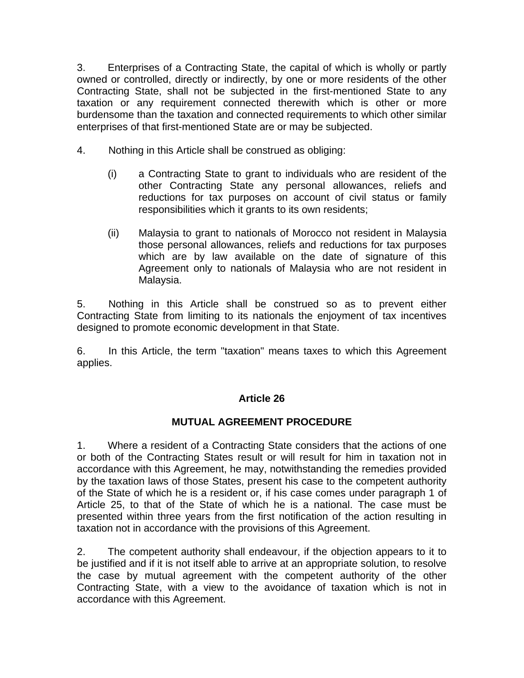3. Enterprises of a Contracting State, the capital of which is wholly or partly owned or controlled, directly or indirectly, by one or more residents of the other Contracting State, shall not be subjected in the first-mentioned State to any taxation or any requirement connected therewith which is other or more burdensome than the taxation and connected requirements to which other similar enterprises of that first-mentioned State are or may be subjected.

- 4. Nothing in this Article shall be construed as obliging:
	- (i) a Contracting State to grant to individuals who are resident of the other Contracting State any personal allowances, reliefs and reductions for tax purposes on account of civil status or family responsibilities which it grants to its own residents;
	- (ii) Malaysia to grant to nationals of Morocco not resident in Malaysia those personal allowances, reliefs and reductions for tax purposes which are by law available on the date of signature of this Agreement only to nationals of Malaysia who are not resident in Malaysia.

5. Nothing in this Article shall be construed so as to prevent either Contracting State from limiting to its nationals the enjoyment of tax incentives designed to promote economic development in that State.

6. In this Article, the term "taxation" means taxes to which this Agreement applies.

# **Article 26**

#### **MUTUAL AGREEMENT PROCEDURE**

1. Where a resident of a Contracting State considers that the actions of one or both of the Contracting States result or will result for him in taxation not in accordance with this Agreement, he may, notwithstanding the remedies provided by the taxation laws of those States, present his case to the competent authority of the State of which he is a resident or, if his case comes under paragraph 1 of Article 25, to that of the State of which he is a national. The case must be presented within three years from the first notification of the action resulting in taxation not in accordance with the provisions of this Agreement.

2. The competent authority shall endeavour, if the objection appears to it to be justified and if it is not itself able to arrive at an appropriate solution, to resolve the case by mutual agreement with the competent authority of the other Contracting State, with a view to the avoidance of taxation which is not in accordance with this Agreement.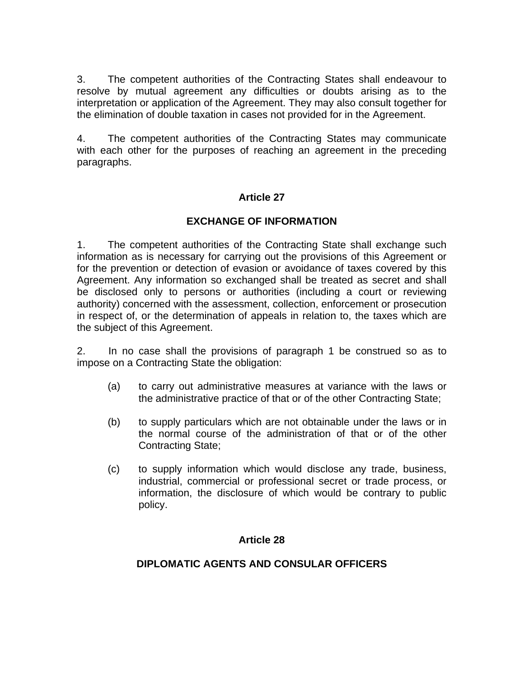3. The competent authorities of the Contracting States shall endeavour to resolve by mutual agreement any difficulties or doubts arising as to the interpretation or application of the Agreement. They may also consult together for the elimination of double taxation in cases not provided for in the Agreement.

4. The competent authorities of the Contracting States may communicate with each other for the purposes of reaching an agreement in the preceding paragraphs.

# **Article 27**

# **EXCHANGE OF INFORMATION**

1. The competent authorities of the Contracting State shall exchange such information as is necessary for carrying out the provisions of this Agreement or for the prevention or detection of evasion or avoidance of taxes covered by this Agreement. Any information so exchanged shall be treated as secret and shall be disclosed only to persons or authorities (including a court or reviewing authority) concerned with the assessment, collection, enforcement or prosecution in respect of, or the determination of appeals in relation to, the taxes which are the subject of this Agreement.

2. In no case shall the provisions of paragraph 1 be construed so as to impose on a Contracting State the obligation:

- (a) to carry out administrative measures at variance with the laws or the administrative practice of that or of the other Contracting State;
- (b) to supply particulars which are not obtainable under the laws or in the normal course of the administration of that or of the other Contracting State;
- (c) to supply information which would disclose any trade, business, industrial, commercial or professional secret or trade process, or information, the disclosure of which would be contrary to public policy.

# **Article 28**

# **DIPLOMATIC AGENTS AND CONSULAR OFFICERS**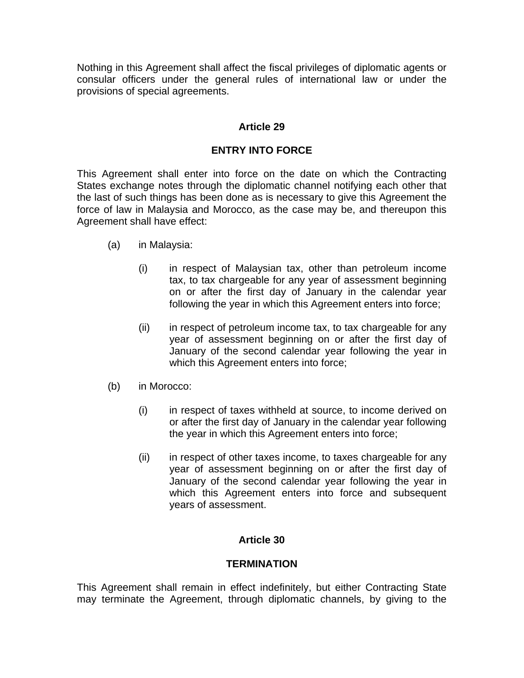Nothing in this Agreement shall affect the fiscal privileges of diplomatic agents or consular officers under the general rules of international law or under the provisions of special agreements.

#### **Article 29**

#### **ENTRY INTO FORCE**

This Agreement shall enter into force on the date on which the Contracting States exchange notes through the diplomatic channel notifying each other that the last of such things has been done as is necessary to give this Agreement the force of law in Malaysia and Morocco, as the case may be, and thereupon this Agreement shall have effect:

- (a) in Malaysia:
	- (i) in respect of Malaysian tax, other than petroleum income tax, to tax chargeable for any year of assessment beginning on or after the first day of January in the calendar year following the year in which this Agreement enters into force;
	- (ii) in respect of petroleum income tax, to tax chargeable for any year of assessment beginning on or after the first day of January of the second calendar year following the year in which this Agreement enters into force;
- (b) in Morocco:
	- (i) in respect of taxes withheld at source, to income derived on or after the first day of January in the calendar year following the year in which this Agreement enters into force;
	- (ii) in respect of other taxes income, to taxes chargeable for any year of assessment beginning on or after the first day of January of the second calendar year following the year in which this Agreement enters into force and subsequent years of assessment.

# **Article 30**

#### **TERMINATION**

This Agreement shall remain in effect indefinitely, but either Contracting State may terminate the Agreement, through diplomatic channels, by giving to the